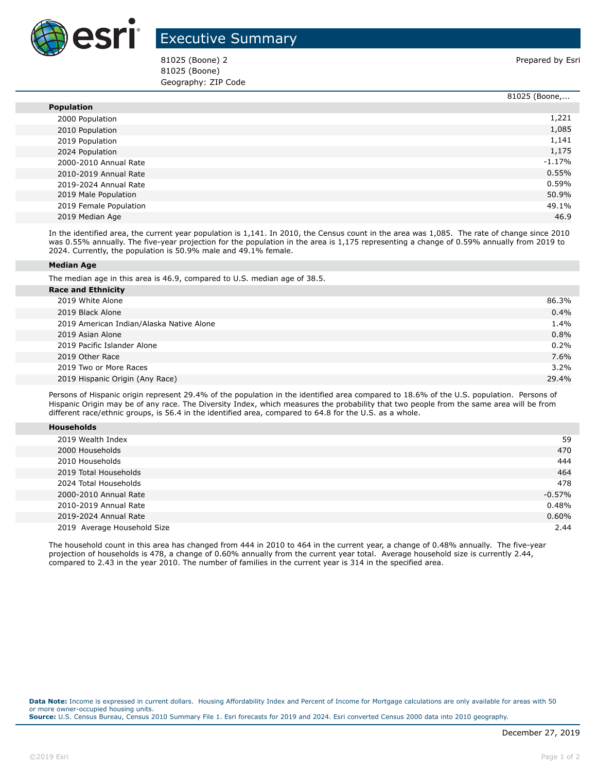

## Executive Summary

81025 (Boone) 2 Prepared by Esri 81025 (Boone) Geography: ZIP Code

|                        | 81025 (Boone, |
|------------------------|---------------|
| <b>Population</b>      |               |
| 2000 Population        | 1,221         |
| 2010 Population        | 1,085         |
| 2019 Population        | 1,141         |
| 2024 Population        | 1,175         |
| 2000-2010 Annual Rate  | $-1.17%$      |
| 2010-2019 Annual Rate  | 0.55%         |
| 2019-2024 Annual Rate  | 0.59%         |
| 2019 Male Population   | 50.9%         |
| 2019 Female Population | 49.1%         |
| 2019 Median Age        | 46.9          |

In the identified area, the current year population is 1,141. In 2010, the Census count in the area was 1,085. The rate of change since 2010 was 0.55% annually. The five-year projection for the population in the area is 1,175 representing a change of 0.59% annually from 2019 to 2024. Currently, the population is 50.9% male and 49.1% female.

## **Median Age**

The median age in this area is 46.9, compared to U.S. median age of 38.5.

| <b>Race and Ethnicity</b>                |       |  |  |  |
|------------------------------------------|-------|--|--|--|
| 2019 White Alone                         | 86.3% |  |  |  |
| 2019 Black Alone                         | 0.4%  |  |  |  |
| 2019 American Indian/Alaska Native Alone | 1.4%  |  |  |  |
| 2019 Asian Alone                         | 0.8%  |  |  |  |
| 2019 Pacific Islander Alone              | 0.2%  |  |  |  |
| 2019 Other Race                          | 7.6%  |  |  |  |
| 2019 Two or More Races                   | 3.2%  |  |  |  |
| 2019 Hispanic Origin (Any Race)          | 29.4% |  |  |  |
|                                          |       |  |  |  |

Persons of Hispanic origin represent 29.4% of the population in the identified area compared to 18.6% of the U.S. population. Persons of Hispanic Origin may be of any race. The Diversity Index, which measures the probability that two people from the same area will be from different race/ethnic groups, is 56.4 in the identified area, compared to 64.8 for the U.S. as a whole.

| <b>Households</b> |
|-------------------|
|-------------------|

| 2019 Wealth Index           | 59       |
|-----------------------------|----------|
| 2000 Households             | 470      |
| 2010 Households             | 444      |
| 2019 Total Households       | 464      |
| 2024 Total Households       | 478      |
| 2000-2010 Annual Rate       | $-0.57%$ |
| 2010-2019 Annual Rate       | 0.48%    |
| 2019-2024 Annual Rate       | 0.60%    |
| 2019 Average Household Size | 2.44     |

The household count in this area has changed from 444 in 2010 to 464 in the current year, a change of 0.48% annually. The five-year projection of households is 478, a change of 0.60% annually from the current year total. Average household size is currently 2.44, compared to 2.43 in the year 2010. The number of families in the current year is 314 in the specified area.

**Data Note:** Income is expressed in current dollars. Housing Affordability Index and Percent of Income for Mortgage calculations are only available for areas with 50 or more owner-occupied housing units. **Source:** U.S. Census Bureau, Census 2010 Summary File 1. Esri forecasts for 2019 and 2024. Esri converted Census 2000 data into 2010 geography.